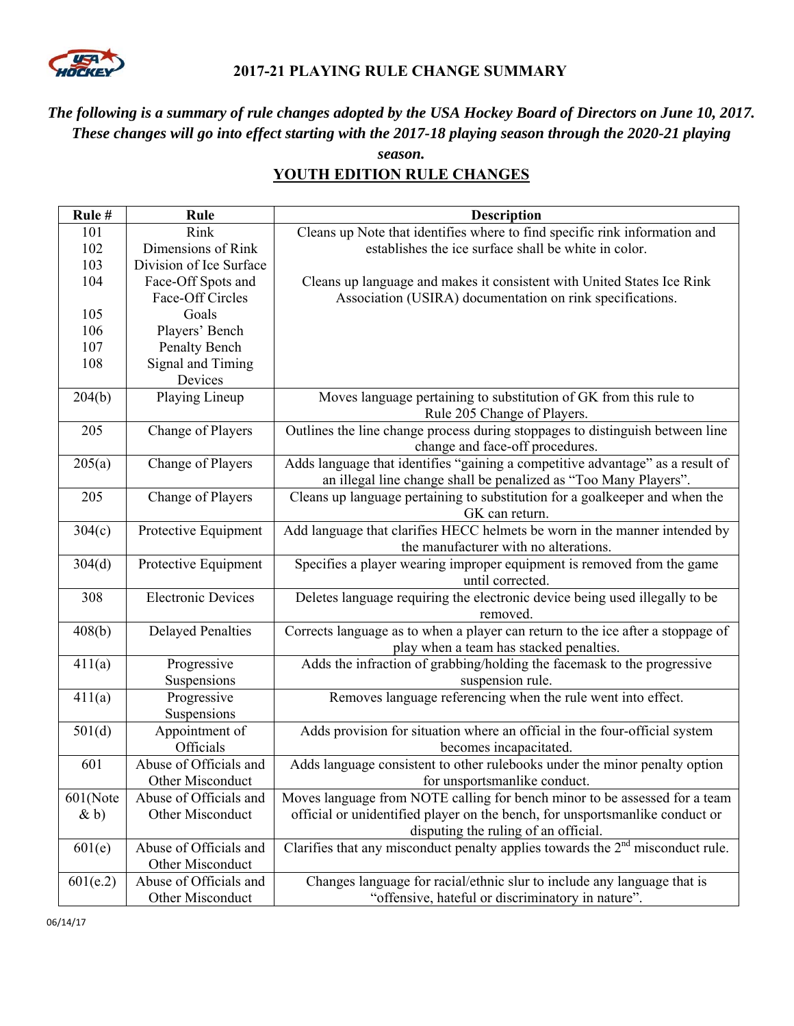

## **2017-21 PLAYING RULE CHANGE SUMMARY**

## *The following is a summary of rule changes adopted by the USA Hockey Board of Directors on June 10, 2017. These changes will go into effect starting with the 2017-18 playing season through the 2020-21 playing*

#### *season.*  **YOUTH EDITION RULE CHANGES**

| Rule#    | Rule                      | <b>Description</b>                                                               |
|----------|---------------------------|----------------------------------------------------------------------------------|
| 101      | Rink                      | Cleans up Note that identifies where to find specific rink information and       |
| 102      | Dimensions of Rink        | establishes the ice surface shall be white in color.                             |
| 103      | Division of Ice Surface   |                                                                                  |
| 104      | Face-Off Spots and        | Cleans up language and makes it consistent with United States Ice Rink           |
|          | Face-Off Circles          | Association (USIRA) documentation on rink specifications.                        |
| 105      | Goals                     |                                                                                  |
| 106      | Players' Bench            |                                                                                  |
| 107      | Penalty Bench             |                                                                                  |
| 108      | Signal and Timing         |                                                                                  |
|          | Devices                   |                                                                                  |
| 204(b)   | Playing Lineup            | Moves language pertaining to substitution of GK from this rule to                |
|          |                           | Rule 205 Change of Players.                                                      |
| 205      | Change of Players         | Outlines the line change process during stoppages to distinguish between line    |
|          |                           | change and face-off procedures.                                                  |
| 205(a)   | Change of Players         | Adds language that identifies "gaining a competitive advantage" as a result of   |
|          |                           | an illegal line change shall be penalized as "Too Many Players".                 |
| 205      | Change of Players         | Cleans up language pertaining to substitution for a goalkeeper and when the      |
|          |                           | GK can return.                                                                   |
| 304(c)   | Protective Equipment      | Add language that clarifies HECC helmets be worn in the manner intended by       |
|          |                           | the manufacturer with no alterations.                                            |
| 304(d)   | Protective Equipment      | Specifies a player wearing improper equipment is removed from the game           |
|          |                           | until corrected.                                                                 |
| 308      | <b>Electronic Devices</b> | Deletes language requiring the electronic device being used illegally to be      |
|          |                           | removed.                                                                         |
| 408(b)   | <b>Delayed Penalties</b>  | Corrects language as to when a player can return to the ice after a stoppage of  |
|          |                           | play when a team has stacked penalties.                                          |
| 411(a)   | Progressive               | Adds the infraction of grabbing/holding the facemask to the progressive          |
|          | Suspensions               | suspension rule.                                                                 |
| 411(a)   | Progressive               | Removes language referencing when the rule went into effect.                     |
|          | Suspensions               |                                                                                  |
| 501(d)   | Appointment of            | Adds provision for situation where an official in the four-official system       |
|          | Officials                 | becomes incapacitated.                                                           |
| 601      | Abuse of Officials and    | Adds language consistent to other rulebooks under the minor penalty option       |
|          | Other Misconduct          | for unsportsmanlike conduct.                                                     |
| 601(Note | Abuse of Officials and    | Moves language from NOTE calling for bench minor to be assessed for a team       |
| $\& b)$  | Other Misconduct          | official or unidentified player on the bench, for unsportsmanlike conduct or     |
|          |                           | disputing the ruling of an official.                                             |
| 601(e)   | Abuse of Officials and    | Clarifies that any misconduct penalty applies towards the $2nd$ misconduct rule. |
|          | Other Misconduct          |                                                                                  |
| 601(e.2) | Abuse of Officials and    | Changes language for racial/ethnic slur to include any language that is          |
|          | Other Misconduct          | "offensive, hateful or discriminatory in nature".                                |

06/14/17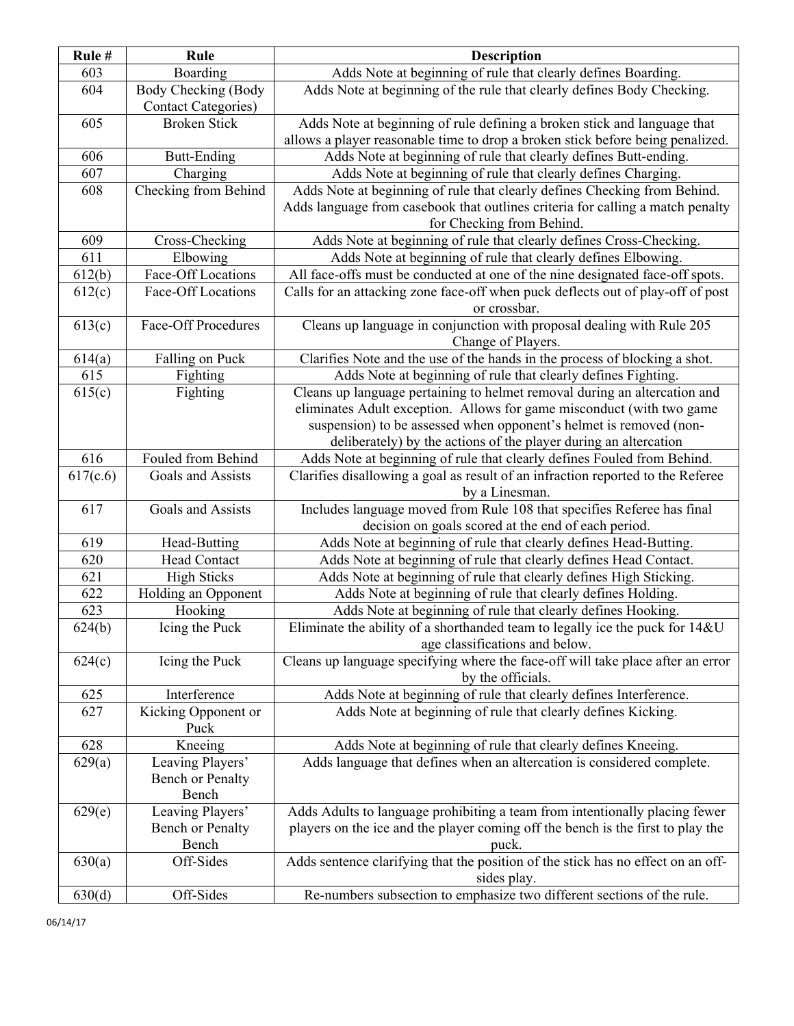| Rule#      | Rule                                               | <b>Description</b>                                                                                          |
|------------|----------------------------------------------------|-------------------------------------------------------------------------------------------------------------|
| 603        | Boarding                                           | Adds Note at beginning of rule that clearly defines Boarding.                                               |
| 604        | Body Checking (Body<br><b>Contact Categories</b> ) | Adds Note at beginning of the rule that clearly defines Body Checking.                                      |
| 605        | <b>Broken Stick</b>                                | Adds Note at beginning of rule defining a broken stick and language that                                    |
|            |                                                    | allows a player reasonable time to drop a broken stick before being penalized.                              |
| 606        | <b>Butt-Ending</b>                                 | Adds Note at beginning of rule that clearly defines Butt-ending.                                            |
| 607        | Charging                                           | Adds Note at beginning of rule that clearly defines Charging.                                               |
| 608        | Checking from Behind                               | Adds Note at beginning of rule that clearly defines Checking from Behind.                                   |
|            |                                                    | Adds language from casebook that outlines criteria for calling a match penalty<br>for Checking from Behind. |
| 609        | Cross-Checking                                     | Adds Note at beginning of rule that clearly defines Cross-Checking.                                         |
| 611        | Elbowing                                           | Adds Note at beginning of rule that clearly defines Elbowing.                                               |
| 612(b)     | Face-Off Locations                                 | All face-offs must be conducted at one of the nine designated face-off spots.                               |
| 612(c)     | Face-Off Locations                                 | Calls for an attacking zone face-off when puck deflects out of play-off of post                             |
|            |                                                    | or crossbar.                                                                                                |
| 613(c)     | <b>Face-Off Procedures</b>                         | Cleans up language in conjunction with proposal dealing with Rule 205                                       |
|            |                                                    | Change of Players.                                                                                          |
| 614(a)     | Falling on Puck                                    | Clarifies Note and the use of the hands in the process of blocking a shot.                                  |
| 615        | Fighting                                           | Adds Note at beginning of rule that clearly defines Fighting.                                               |
| 615(c)     | Fighting                                           | Cleans up language pertaining to helmet removal during an altercation and                                   |
|            |                                                    | eliminates Adult exception. Allows for game misconduct (with two game                                       |
|            |                                                    | suspension) to be assessed when opponent's helmet is removed (non-                                          |
|            |                                                    | deliberately) by the actions of the player during an altercation                                            |
| 616        | Fouled from Behind                                 | Adds Note at beginning of rule that clearly defines Fouled from Behind.                                     |
| 617(c.6)   | Goals and Assists                                  | Clarifies disallowing a goal as result of an infraction reported to the Referee                             |
|            |                                                    | by a Linesman.                                                                                              |
| 617        | Goals and Assists                                  | Includes language moved from Rule 108 that specifies Referee has final                                      |
|            |                                                    | decision on goals scored at the end of each period.                                                         |
| 619        | Head-Butting                                       | Adds Note at beginning of rule that clearly defines Head-Butting.                                           |
| 620        | Head Contact                                       | Adds Note at beginning of rule that clearly defines Head Contact.                                           |
| 621        | <b>High Sticks</b>                                 | Adds Note at beginning of rule that clearly defines High Sticking.                                          |
| 622        | Holding an Opponent                                | Adds Note at beginning of rule that clearly defines Holding.                                                |
| 623        | Hooking                                            | Adds Note at beginning of rule that clearly defines Hooking.                                                |
| 624(b)     | Icing the Puck                                     | Eliminate the ability of a shorthanded team to legally ice the puck for 14&U                                |
|            |                                                    | age classifications and below.                                                                              |
| 624(c)     | Icing the Puck                                     | Cleans up language specifying where the face-off will take place after an error<br>by the officials.        |
|            | Interference                                       | Adds Note at beginning of rule that clearly defines Interference.                                           |
| 625<br>627 |                                                    | Adds Note at beginning of rule that clearly defines Kicking.                                                |
|            | Kicking Opponent or<br>Puck                        |                                                                                                             |
| 628        | Kneeing                                            | Adds Note at beginning of rule that clearly defines Kneeing.                                                |
| 629(a)     | Leaving Players'                                   | Adds language that defines when an altercation is considered complete.                                      |
|            | Bench or Penalty                                   |                                                                                                             |
|            | Bench                                              |                                                                                                             |
| 629(e)     | Leaving Players'                                   | Adds Adults to language prohibiting a team from intentionally placing fewer                                 |
|            | Bench or Penalty                                   | players on the ice and the player coming off the bench is the first to play the                             |
|            | Bench                                              | puck.                                                                                                       |
| 630(a)     | Off-Sides                                          | Adds sentence clarifying that the position of the stick has no effect on an off-<br>sides play.             |
| 630(d)     | Off-Sides                                          | Re-numbers subsection to emphasize two different sections of the rule.                                      |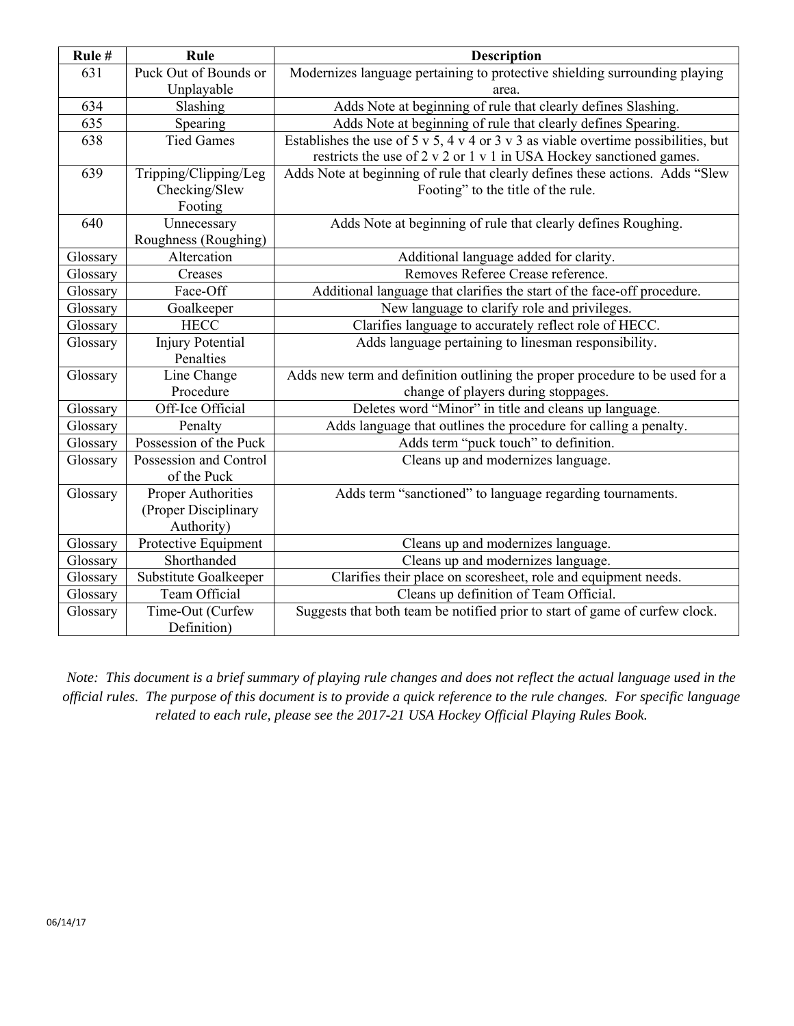| Rule#    | Rule                      | <b>Description</b>                                                                 |
|----------|---------------------------|------------------------------------------------------------------------------------|
| 631      | Puck Out of Bounds or     | Modernizes language pertaining to protective shielding surrounding playing         |
|          | Unplayable                | area.                                                                              |
| 634      | Slashing                  | Adds Note at beginning of rule that clearly defines Slashing.                      |
| 635      | Spearing                  | Adds Note at beginning of rule that clearly defines Spearing.                      |
| 638      | <b>Tied Games</b>         | Establishes the use of 5 v 5, 4 v 4 or 3 v 3 as viable overtime possibilities, but |
|          |                           | restricts the use of 2 v 2 or 1 v 1 in USA Hockey sanctioned games.                |
| 639      | Tripping/Clipping/Leg     | Adds Note at beginning of rule that clearly defines these actions. Adds "Slew      |
|          | Checking/Slew             | Footing" to the title of the rule.                                                 |
|          | Footing                   |                                                                                    |
| 640      | Unnecessary               | Adds Note at beginning of rule that clearly defines Roughing.                      |
|          | Roughness (Roughing)      |                                                                                    |
| Glossary | Altercation               | Additional language added for clarity.                                             |
| Glossary | Creases                   | Removes Referee Crease reference.                                                  |
| Glossary | Face-Off                  | Additional language that clarifies the start of the face-off procedure.            |
| Glossary | Goalkeeper                | New language to clarify role and privileges.                                       |
| Glossary | <b>HECC</b>               | Clarifies language to accurately reflect role of HECC.                             |
| Glossary | <b>Injury Potential</b>   | Adds language pertaining to linesman responsibility.                               |
|          | Penalties                 |                                                                                    |
| Glossary | Line Change               | Adds new term and definition outlining the proper procedure to be used for a       |
|          | Procedure                 | change of players during stoppages.                                                |
| Glossary | Off-Ice Official          | Deletes word "Minor" in title and cleans up language.                              |
| Glossary | Penalty                   | Adds language that outlines the procedure for calling a penalty.                   |
| Glossary | Possession of the Puck    | Adds term "puck touch" to definition.                                              |
| Glossary | Possession and Control    | Cleans up and modernizes language.                                                 |
|          | of the Puck               |                                                                                    |
| Glossary | <b>Proper Authorities</b> | Adds term "sanctioned" to language regarding tournaments.                          |
|          | (Proper Disciplinary      |                                                                                    |
|          | Authority)                |                                                                                    |
| Glossary | Protective Equipment      | Cleans up and modernizes language.                                                 |
| Glossary | Shorthanded               | Cleans up and modernizes language.                                                 |
| Glossary | Substitute Goalkeeper     | Clarifies their place on scoresheet, role and equipment needs.                     |
| Glossary | Team Official             | Cleans up definition of Team Official.                                             |
| Glossary | Time-Out (Curfew          | Suggests that both team be notified prior to start of game of curfew clock.        |
|          | Definition)               |                                                                                    |

*Note: This document is a brief summary of playing rule changes and does not reflect the actual language used in the official rules. The purpose of this document is to provide a quick reference to the rule changes. For specific language related to each rule, please see the 2017-21 USA Hockey Official Playing Rules Book.*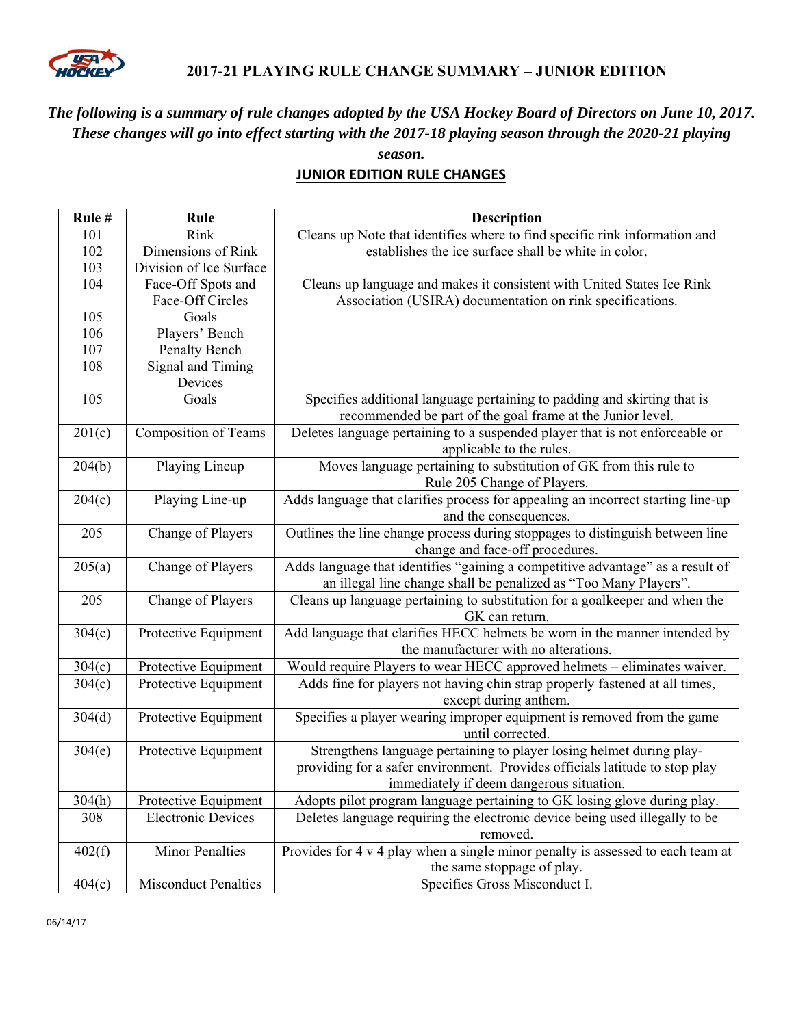

### **2017-21 PLAYING RULE CHANGE SUMMARY – JUNIOR EDITION**

# *The following is a summary of rule changes adopted by the USA Hockey Board of Directors on June 10, 2017. These changes will go into effect starting with the 2017-18 playing season through the 2020-21 playing*

*season.*  **JUNIOR EDITION RULE CHANGES** 

| Rule#  | Rule                        | <b>Description</b>                                                               |
|--------|-----------------------------|----------------------------------------------------------------------------------|
| 101    | Rink                        | Cleans up Note that identifies where to find specific rink information and       |
| 102    | Dimensions of Rink          | establishes the ice surface shall be white in color.                             |
| 103    | Division of Ice Surface     |                                                                                  |
| 104    | Face-Off Spots and          | Cleans up language and makes it consistent with United States Ice Rink           |
|        | Face-Off Circles            | Association (USIRA) documentation on rink specifications.                        |
| 105    | Goals                       |                                                                                  |
| 106    | Players' Bench              |                                                                                  |
| 107    | Penalty Bench               |                                                                                  |
| 108    | Signal and Timing           |                                                                                  |
|        | Devices                     |                                                                                  |
| 105    | Goals                       | Specifies additional language pertaining to padding and skirting that is         |
|        |                             | recommended be part of the goal frame at the Junior level.                       |
| 201(c) | <b>Composition of Teams</b> | Deletes language pertaining to a suspended player that is not enforceable or     |
|        |                             | applicable to the rules.                                                         |
| 204(b) | Playing Lineup              | Moves language pertaining to substitution of GK from this rule to                |
|        |                             | Rule 205 Change of Players.                                                      |
| 204(c) | Playing Line-up             | Adds language that clarifies process for appealing an incorrect starting line-up |
|        |                             | and the consequences.                                                            |
| 205    | Change of Players           | Outlines the line change process during stoppages to distinguish between line    |
|        |                             | change and face-off procedures.                                                  |
| 205(a) | Change of Players           | Adds language that identifies "gaining a competitive advantage" as a result of   |
|        |                             | an illegal line change shall be penalized as "Too Many Players".                 |
| 205    | Change of Players           | Cleans up language pertaining to substitution for a goalkeeper and when the      |
|        |                             | GK can return.                                                                   |
| 304(c) | Protective Equipment        | Add language that clarifies HECC helmets be worn in the manner intended by       |
|        |                             | the manufacturer with no alterations.                                            |
| 304(c) | Protective Equipment        | Would require Players to wear HECC approved helmets - eliminates waiver.         |
| 304(c) | Protective Equipment        | Adds fine for players not having chin strap properly fastened at all times,      |
|        |                             | except during anthem.                                                            |
| 304(d) | Protective Equipment        | Specifies a player wearing improper equipment is removed from the game           |
|        |                             | until corrected.                                                                 |
| 304(e) | Protective Equipment        | Strengthens language pertaining to player losing helmet during play-             |
|        |                             | providing for a safer environment. Provides officials latitude to stop play      |
|        |                             | immediately if deem dangerous situation.                                         |
| 304(h) | Protective Equipment        | Adopts pilot program language pertaining to GK losing glove during play.         |
| 308    | <b>Electronic Devices</b>   | Deletes language requiring the electronic device being used illegally to be      |
|        |                             | removed.                                                                         |
| 402(f) | <b>Minor Penalties</b>      | Provides for 4 v 4 play when a single minor penalty is assessed to each team at  |
|        |                             | the same stoppage of play.                                                       |
| 404(c) | <b>Misconduct Penalties</b> | Specifies Gross Misconduct I.                                                    |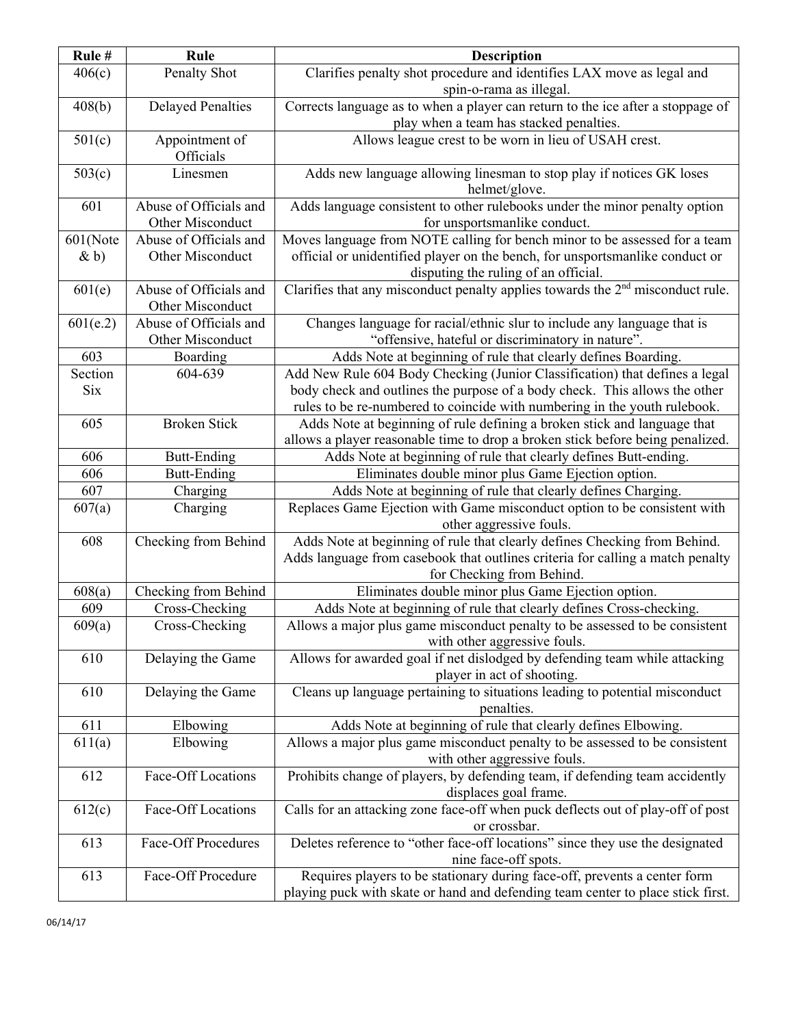| Rule#               | Rule                                       | <b>Description</b>                                                                                                                                                                                 |
|---------------------|--------------------------------------------|----------------------------------------------------------------------------------------------------------------------------------------------------------------------------------------------------|
| 406(c)              | Penalty Shot                               | Clarifies penalty shot procedure and identifies LAX move as legal and<br>spin-o-rama as illegal.                                                                                                   |
| 408(b)              | <b>Delayed Penalties</b>                   | Corrects language as to when a player can return to the ice after a stoppage of<br>play when a team has stacked penalties.                                                                         |
| 501(c)              | Appointment of<br>Officials                | Allows league crest to be worn in lieu of USAH crest.                                                                                                                                              |
| 503(c)              | Linesmen                                   | Adds new language allowing linesman to stop play if notices GK loses<br>helmet/glove.                                                                                                              |
| 601                 | Abuse of Officials and<br>Other Misconduct | Adds language consistent to other rulebooks under the minor penalty option<br>for unsportsmanlike conduct.                                                                                         |
| 601(Note<br>$\& b)$ | Abuse of Officials and<br>Other Misconduct | Moves language from NOTE calling for bench minor to be assessed for a team<br>official or unidentified player on the bench, for unsportsmanlike conduct or<br>disputing the ruling of an official. |
| 601(e)              | Abuse of Officials and<br>Other Misconduct | Clarifies that any misconduct penalty applies towards the $2nd$ misconduct rule.                                                                                                                   |
| 601(e.2)            | Abuse of Officials and<br>Other Misconduct | Changes language for racial/ethnic slur to include any language that is<br>"offensive, hateful or discriminatory in nature".                                                                       |
| 603                 | Boarding                                   | Adds Note at beginning of rule that clearly defines Boarding.                                                                                                                                      |
| Section             | 604-639                                    | Add New Rule 604 Body Checking (Junior Classification) that defines a legal                                                                                                                        |
| <b>Six</b>          |                                            | body check and outlines the purpose of a body check. This allows the other                                                                                                                         |
|                     |                                            | rules to be re-numbered to coincide with numbering in the youth rulebook.                                                                                                                          |
| 605                 | <b>Broken Stick</b>                        | Adds Note at beginning of rule defining a broken stick and language that                                                                                                                           |
|                     |                                            | allows a player reasonable time to drop a broken stick before being penalized.                                                                                                                     |
| 606                 | <b>Butt-Ending</b>                         | Adds Note at beginning of rule that clearly defines Butt-ending.                                                                                                                                   |
| 606                 | <b>Butt-Ending</b>                         | Eliminates double minor plus Game Ejection option.                                                                                                                                                 |
| 607                 | Charging                                   | Adds Note at beginning of rule that clearly defines Charging.                                                                                                                                      |
| 607(a)              | Charging                                   | Replaces Game Ejection with Game misconduct option to be consistent with                                                                                                                           |
|                     |                                            | other aggressive fouls.                                                                                                                                                                            |
| 608                 | Checking from Behind                       | Adds Note at beginning of rule that clearly defines Checking from Behind.                                                                                                                          |
|                     |                                            | Adds language from casebook that outlines criteria for calling a match penalty                                                                                                                     |
|                     |                                            | for Checking from Behind.                                                                                                                                                                          |
| 608(a)              | Checking from Behind                       | Eliminates double minor plus Game Ejection option.                                                                                                                                                 |
| 609                 | Cross-Checking                             | Adds Note at beginning of rule that clearly defines Cross-checking.                                                                                                                                |
| 609(a)              | Cross-Checking                             | Allows a major plus game misconduct penalty to be assessed to be consistent<br>with other aggressive fouls.                                                                                        |
| 610                 | Delaying the Game                          | Allows for awarded goal if net dislodged by defending team while attacking<br>player in act of shooting.                                                                                           |
| 610                 | Delaying the Game                          | Cleans up language pertaining to situations leading to potential misconduct<br>penalties.                                                                                                          |
| 611                 | Elbowing                                   | Adds Note at beginning of rule that clearly defines Elbowing.                                                                                                                                      |
| 611(a)              | Elbowing                                   | Allows a major plus game misconduct penalty to be assessed to be consistent                                                                                                                        |
|                     |                                            | with other aggressive fouls.                                                                                                                                                                       |
| 612                 | Face-Off Locations                         | Prohibits change of players, by defending team, if defending team accidently<br>displaces goal frame.                                                                                              |
| 612(c)              | Face-Off Locations                         | Calls for an attacking zone face-off when puck deflects out of play-off of post<br>or crossbar.                                                                                                    |
| 613                 | <b>Face-Off Procedures</b>                 | Deletes reference to "other face-off locations" since they use the designated<br>nine face-off spots.                                                                                              |
| 613                 | Face-Off Procedure                         | Requires players to be stationary during face-off, prevents a center form                                                                                                                          |
|                     |                                            | playing puck with skate or hand and defending team center to place stick first.                                                                                                                    |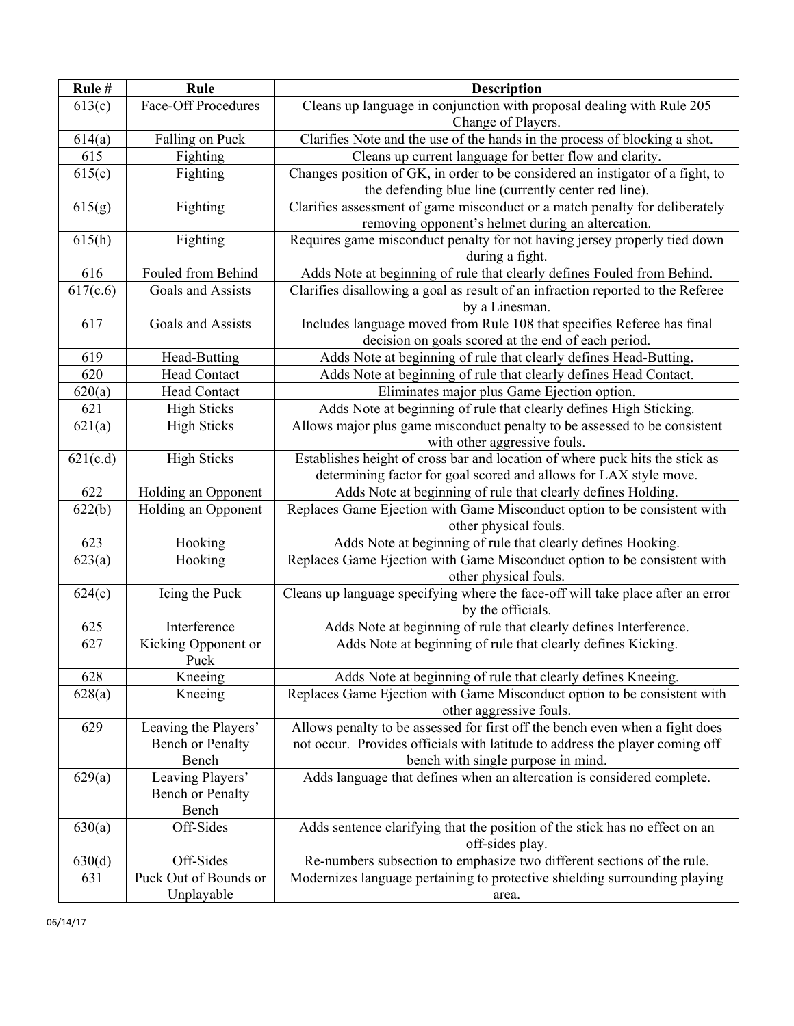| Rule#    | Rule                                     | <b>Description</b>                                                                                  |
|----------|------------------------------------------|-----------------------------------------------------------------------------------------------------|
| 613(c)   | Face-Off Procedures                      | Cleans up language in conjunction with proposal dealing with Rule 205                               |
|          |                                          | Change of Players.                                                                                  |
| 614(a)   | Falling on Puck                          | Clarifies Note and the use of the hands in the process of blocking a shot.                          |
| 615      | Fighting                                 | Cleans up current language for better flow and clarity.                                             |
| 615(c)   | Fighting                                 | Changes position of GK, in order to be considered an instigator of a fight, to                      |
|          |                                          | the defending blue line (currently center red line).                                                |
| 615(g)   | Fighting                                 | Clarifies assessment of game misconduct or a match penalty for deliberately                         |
|          |                                          | removing opponent's helmet during an altercation.                                                   |
| 615(h)   | Fighting                                 | Requires game misconduct penalty for not having jersey properly tied down                           |
|          |                                          | during a fight.                                                                                     |
| 616      | Fouled from Behind                       | Adds Note at beginning of rule that clearly defines Fouled from Behind.                             |
| 617(c.6) | Goals and Assists                        | Clarifies disallowing a goal as result of an infraction reported to the Referee                     |
|          |                                          | by a Linesman.                                                                                      |
| 617      | Goals and Assists                        | Includes language moved from Rule 108 that specifies Referee has final                              |
|          |                                          | decision on goals scored at the end of each period.                                                 |
| 619      | Head-Butting                             | Adds Note at beginning of rule that clearly defines Head-Butting.                                   |
| 620      | <b>Head Contact</b>                      | Adds Note at beginning of rule that clearly defines Head Contact.                                   |
| 620(a)   | Head Contact                             | Eliminates major plus Game Ejection option.                                                         |
| 621      | <b>High Sticks</b>                       | Adds Note at beginning of rule that clearly defines High Sticking.                                  |
| 621(a)   | <b>High Sticks</b>                       | Allows major plus game misconduct penalty to be assessed to be consistent                           |
|          |                                          | with other aggressive fouls.                                                                        |
| 621(c.d) | <b>High Sticks</b>                       | Establishes height of cross bar and location of where puck hits the stick as                        |
|          |                                          | determining factor for goal scored and allows for LAX style move.                                   |
| 622      | Holding an Opponent                      | Adds Note at beginning of rule that clearly defines Holding.                                        |
| 622(b)   | Holding an Opponent                      | Replaces Game Ejection with Game Misconduct option to be consistent with<br>other physical fouls.   |
| 623      | Hooking                                  | Adds Note at beginning of rule that clearly defines Hooking.                                        |
| 623(a)   | Hooking                                  | Replaces Game Ejection with Game Misconduct option to be consistent with                            |
|          |                                          | other physical fouls.                                                                               |
| 624(c)   | Icing the Puck                           | Cleans up language specifying where the face-off will take place after an error                     |
|          |                                          | by the officials.                                                                                   |
| 625      | Interference                             | Adds Note at beginning of rule that clearly defines Interference.                                   |
| 627      | Kicking Opponent or                      | Adds Note at beginning of rule that clearly defines Kicking.                                        |
|          | Puck                                     |                                                                                                     |
| 628      | Kneeing                                  | Adds Note at beginning of rule that clearly defines Kneeing.                                        |
| 628(a)   | Kneeing                                  | Replaces Game Ejection with Game Misconduct option to be consistent with<br>other aggressive fouls. |
| 629      |                                          | Allows penalty to be assessed for first off the bench even when a fight does                        |
|          | Leaving the Players'<br>Bench or Penalty | not occur. Provides officials with latitude to address the player coming off                        |
|          | Bench                                    | bench with single purpose in mind.                                                                  |
| 629(a)   | Leaving Players'                         | Adds language that defines when an altercation is considered complete.                              |
|          | Bench or Penalty                         |                                                                                                     |
|          | Bench                                    |                                                                                                     |
| 630(a)   | Off-Sides                                | Adds sentence clarifying that the position of the stick has no effect on an                         |
|          |                                          | off-sides play.                                                                                     |
| 630(d)   | Off-Sides                                | Re-numbers subsection to emphasize two different sections of the rule.                              |
| 631      | Puck Out of Bounds or                    | Modernizes language pertaining to protective shielding surrounding playing                          |
|          | Unplayable                               | area.                                                                                               |